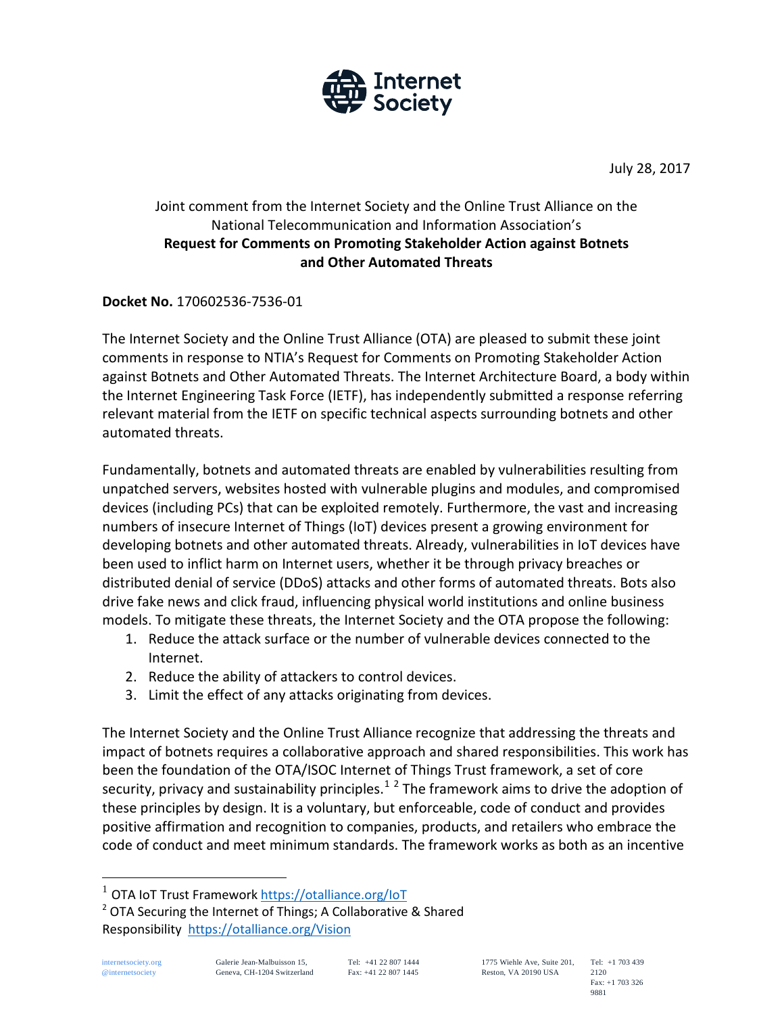

July 28, 2017

### Joint comment from the Internet Society and the Online Trust Alliance on the National Telecommunication and Information Association's **Request for Comments on Promoting Stakeholder Action against Botnets and Other Automated Threats**

#### **Docket No.** 170602536-7536-01

The Internet Society and the Online Trust Alliance (OTA) are pleased to submit these joint comments in response to NTIA's Request for Comments on Promoting Stakeholder Action against Botnets and Other Automated Threats. The Internet Architecture Board, a body within the Internet Engineering Task Force (IETF), has independently submitted a response referring relevant material from the IETF on specific technical aspects surrounding botnets and other automated threats.

Fundamentally, botnets and automated threats are enabled by vulnerabilities resulting from unpatched servers, websites hosted with vulnerable plugins and modules, and compromised devices (including PCs) that can be exploited remotely. Furthermore, the vast and increasing numbers of insecure Internet of Things (IoT) devices present a growing environment for developing botnets and other automated threats. Already, vulnerabilities in IoT devices have been used to inflict harm on Internet users, whether it be through privacy breaches or distributed denial of service (DDoS) attacks and other forms of automated threats. Bots also drive fake news and click fraud, influencing physical world institutions and online business models. To mitigate these threats, the Internet Society and the OTA propose the following:

- 1. Reduce the attack surface or the number of vulnerable devices connected to the Internet.
- 2. Reduce the ability of attackers to control devices.
- 3. Limit the effect of any attacks originating from devices.

The Internet Society and the Online Trust Alliance recognize that addressing the threats and impact of botnets requires a collaborative approach and shared responsibilities. This work has been the foundation of the OTA/ISOC Internet of Things Trust framework, a set of core security, privacy and sustainability principles.<sup>[1](#page-0-0)[2](#page-0-1)</sup> The framework aims to drive the adoption of these principles by design. It is a voluntary, but enforceable, code of conduct and provides positive affirmation and recognition to companies, products, and retailers who embrace the code of conduct and meet minimum standards. The framework works as both as an incentive

<span id="page-0-0"></span>OTA IoT Trust Framewor[k https://otalliance.org/IoT](https://otalliance.org/IoT)

<span id="page-0-1"></span><sup>&</sup>lt;sup>2</sup> OTA Securing the Internet of Things; A Collaborative & Shared Responsibility <https://otalliance.org/Vision>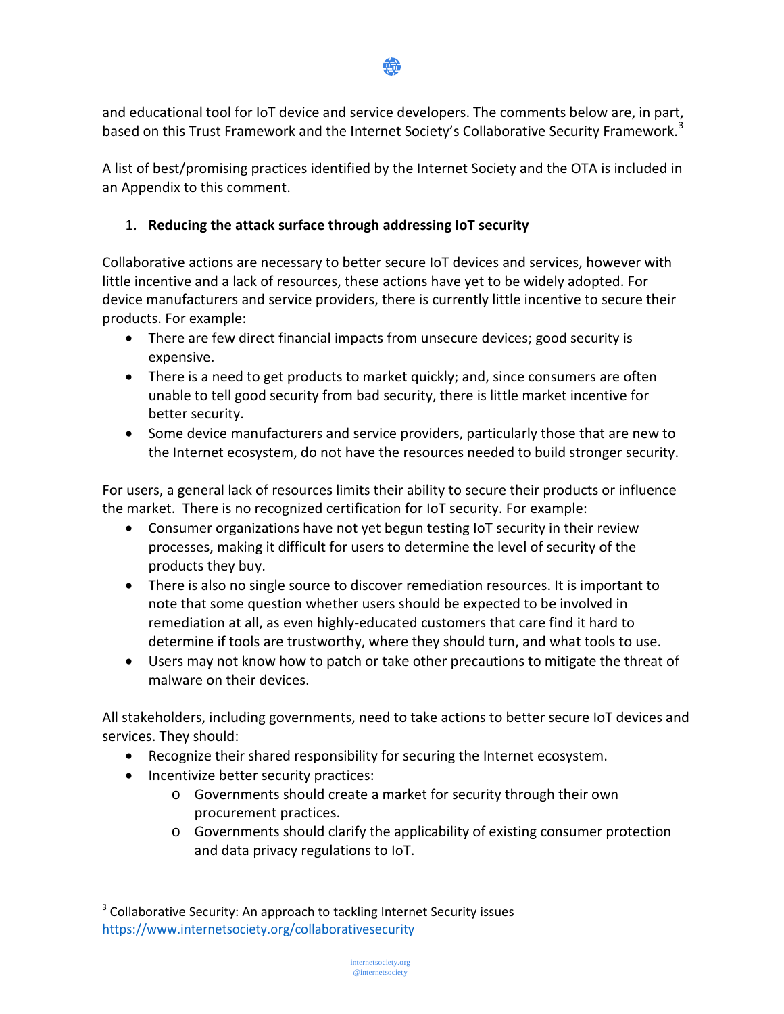

and educational tool for IoT device and service developers. The comments below are, in part, based on this Trust Framework and the Internet Society's Collaborative Security Framework.<sup>[3](#page-1-0)</sup>

A list of best/promising practices identified by the Internet Society and the OTA is included in an Appendix to this comment.

## 1. **Reducing the attack surface through addressing IoT security**

Collaborative actions are necessary to better secure IoT devices and services, however with little incentive and a lack of resources, these actions have yet to be widely adopted. For device manufacturers and service providers, there is currently little incentive to secure their products. For example:

- There are few direct financial impacts from unsecure devices; good security is expensive.
- There is a need to get products to market quickly; and, since consumers are often unable to tell good security from bad security, there is little market incentive for better security.
- Some device manufacturers and service providers, particularly those that are new to the Internet ecosystem, do not have the resources needed to build stronger security.

For users, a general lack of resources limits their ability to secure their products or influence the market. There is no recognized certification for IoT security. For example:

- Consumer organizations have not yet begun testing IoT security in their review processes, making it difficult for users to determine the level of security of the products they buy.
- There is also no single source to discover remediation resources. It is important to note that some question whether users should be expected to be involved in remediation at all, as even highly-educated customers that care find it hard to determine if tools are trustworthy, where they should turn, and what tools to use.
- Users may not know how to patch or take other precautions to mitigate the threat of malware on their devices.

All stakeholders, including governments, need to take actions to better secure IoT devices and services. They should:

- Recognize their shared responsibility for securing the Internet ecosystem.
- Incentivize better security practices:

 $\overline{a}$ 

- o Governments should create a market for security through their own procurement practices.
- o Governments should clarify the applicability of existing consumer protection and data privacy regulations to IoT.

<span id="page-1-0"></span><sup>&</sup>lt;sup>3</sup> Collaborative Security: An approach to tackling Internet Security issues <https://www.internetsociety.org/collaborativesecurity>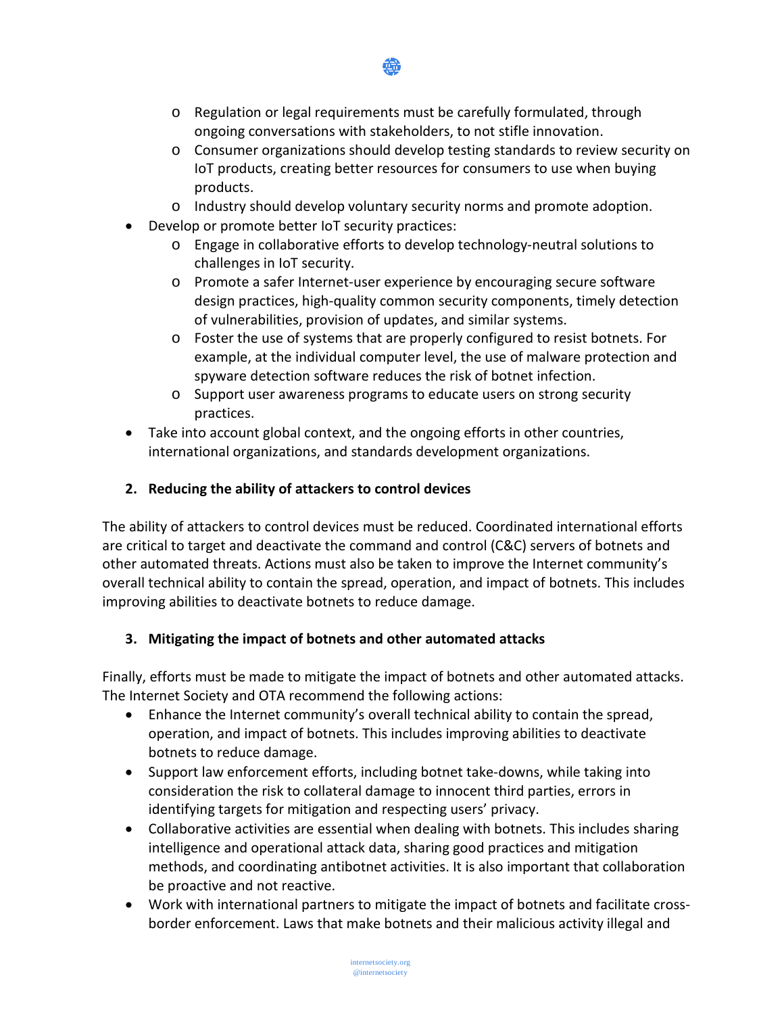

- o Regulation or legal requirements must be carefully formulated, through ongoing conversations with stakeholders, to not stifle innovation.
- o Consumer organizations should develop testing standards to review security on IoT products, creating better resources for consumers to use when buying products.
- o Industry should develop voluntary security norms and promote adoption.
- Develop or promote better IoT security practices:
	- o Engage in collaborative efforts to develop technology-neutral solutions to challenges in IoT security.
	- o Promote a safer Internet-user experience by encouraging secure software design practices, high-quality common security components, timely detection of vulnerabilities, provision of updates, and similar systems.
	- o Foster the use of systems that are properly configured to resist botnets. For example, at the individual computer level, the use of malware protection and spyware detection software reduces the risk of botnet infection.
	- o Support user awareness programs to educate users on strong security practices.
- Take into account global context, and the ongoing efforts in other countries, international organizations, and standards development organizations.

# **2. Reducing the ability of attackers to control devices**

The ability of attackers to control devices must be reduced. Coordinated international efforts are critical to target and deactivate the command and control (C&C) servers of botnets and other automated threats. Actions must also be taken to improve the Internet community's overall technical ability to contain the spread, operation, and impact of botnets. This includes improving abilities to deactivate botnets to reduce damage.

# **3. Mitigating the impact of botnets and other automated attacks**

Finally, efforts must be made to mitigate the impact of botnets and other automated attacks. The Internet Society and OTA recommend the following actions:

- Enhance the Internet community's overall technical ability to contain the spread, operation, and impact of botnets. This includes improving abilities to deactivate botnets to reduce damage.
- Support law enforcement efforts, including botnet take-downs, while taking into consideration the risk to collateral damage to innocent third parties, errors in identifying targets for mitigation and respecting users' privacy.
- Collaborative activities are essential when dealing with botnets. This includes sharing intelligence and operational attack data, sharing good practices and mitigation methods, and coordinating antibotnet activities. It is also important that collaboration be proactive and not reactive.
- Work with international partners to mitigate the impact of botnets and facilitate crossborder enforcement. Laws that make botnets and their malicious activity illegal and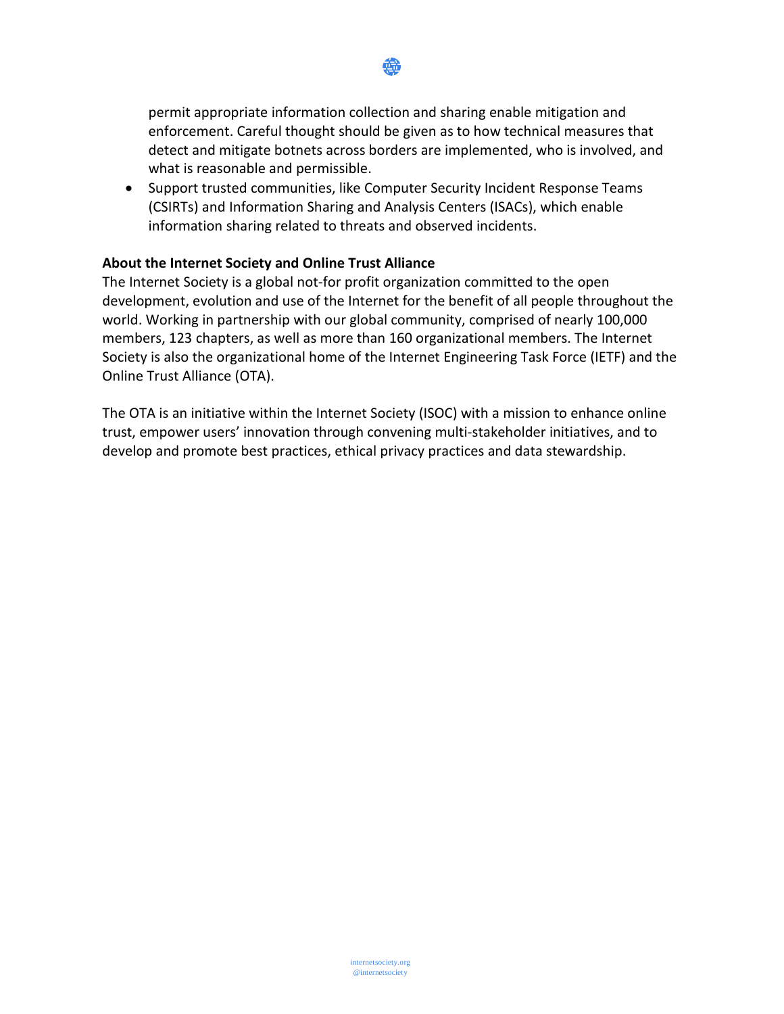

permit appropriate information collection and sharing enable mitigation and enforcement. Careful thought should be given as to how technical measures that detect and mitigate botnets across borders are implemented, who is involved, and what is reasonable and permissible.

• Support trusted communities, like Computer Security Incident Response Teams (CSIRTs) and Information Sharing and Analysis Centers (ISACs), which enable information sharing related to threats and observed incidents.

#### **About the Internet Society and Online Trust Alliance**

The Internet Society is a global not-for profit organization committed to the open development, evolution and use of the Internet for the benefit of all people throughout the world. Working in partnership with our global community, comprised of nearly 100,000 members, 123 chapters, as well as more than 160 organizational members. The Internet Society is also the organizational home of the Internet Engineering Task Force (IETF) and the Online Trust Alliance (OTA).

The OTA is an initiative within the Internet Society (ISOC) with a mission to enhance online trust, empower users' innovation through convening multi-stakeholder initiatives, and to develop and promote best practices, ethical privacy practices and data stewardship.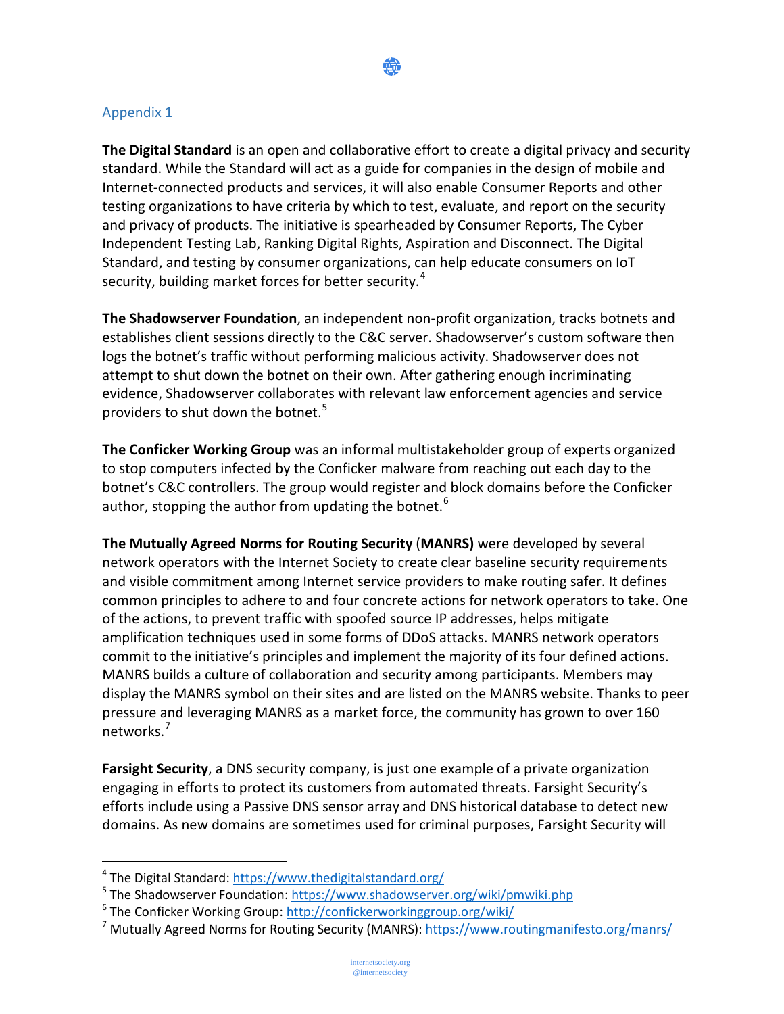

#### Appendix 1

**The Digital Standard** is an open and collaborative effort to create a digital privacy and security standard. While the Standard will act as a guide for companies in the design of mobile and Internet-connected products and services, it will also enable Consumer Reports and other testing organizations to have criteria by which to test, evaluate, and report on the security and privacy of products. The initiative is spearheaded by Consumer Reports, The Cyber Independent Testing Lab, Ranking Digital Rights, Aspiration and Disconnect. The Digital Standard, and testing by consumer organizations, can help educate consumers on IoT security, building market forces for better security.<sup>[4](#page-4-0)</sup>

**The Shadowserver Foundation**, an independent non-profit organization, tracks botnets and establishes client sessions directly to the C&C server. Shadowserver's custom software then logs the botnet's traffic without performing malicious activity. Shadowserver does not attempt to shut down the botnet on their own. After gathering enough incriminating evidence, Shadowserver collaborates with relevant law enforcement agencies and service providers to shut down the botnet.<sup>[5](#page-4-1)</sup>

**The Conficker Working Group** was an informal multistakeholder group of experts organized to stop computers infected by the Conficker malware from reaching out each day to the botnet's C&C controllers. The group would register and block domains before the Conficker author, stopping the author from updating the botnet. $6$ 

**The Mutually Agreed Norms for Routing Security** (**MANRS)** were developed by several network operators with the Internet Society to create clear baseline security requirements and visible commitment among Internet service providers to make routing safer. It defines common principles to adhere to and four concrete actions for network operators to take. One of the actions, to prevent traffic with spoofed source IP addresses, helps mitigate amplification techniques used in some forms of DDoS attacks. MANRS network operators commit to the initiative's principles and implement the majority of its four defined actions. MANRS builds a culture of collaboration and security among participants. Members may display the MANRS symbol on their sites and are listed on the MANRS website. Thanks to peer pressure and leveraging MANRS as a market force, the community has grown to over 160 networks.[7](#page-4-3)

**Farsight Security**, a DNS security company, is just one example of a private organization engaging in efforts to protect its customers from automated threats. Farsight Security's efforts include using a Passive DNS sensor array and DNS historical database to detect new domains. As new domains are sometimes used for criminal purposes, Farsight Security will

 $\overline{a}$ 

<span id="page-4-0"></span><sup>4</sup> The Digital Standard:<https://www.thedigitalstandard.org/>

<span id="page-4-1"></span><sup>&</sup>lt;sup>5</sup> The Shadowserver Foundation[: https://www.shadowserver.org/wiki/pmwiki.php](https://www.shadowserver.org/wiki/pmwiki.php)

<span id="page-4-2"></span><sup>6</sup> The Conficker Working Group:<http://confickerworkinggroup.org/wiki/>

<span id="page-4-3"></span><sup>7</sup> Mutually Agreed Norms for Routing Security (MANRS):<https://www.routingmanifesto.org/manrs/>